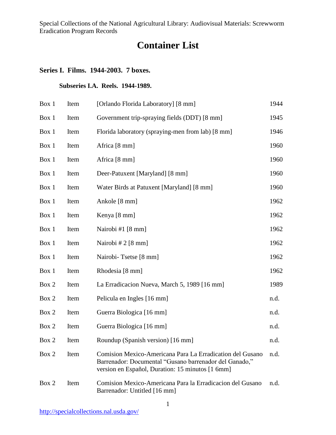# **Container List**

# **Series I. Films. 1944-2003. 7 boxes.**

## **Subseries I.A. Reels. 1944-1989.**

| Box 1 | Item | [Orlando Florida Laboratory] [8 mm]                                                                                                                                     | 1944 |
|-------|------|-------------------------------------------------------------------------------------------------------------------------------------------------------------------------|------|
| Box 1 | Item | Government trip-spraying fields (DDT) [8 mm]                                                                                                                            | 1945 |
| Box 1 | Item | Florida laboratory (spraying-men from lab) [8 mm]                                                                                                                       | 1946 |
| Box 1 | Item | Africa [8 mm]                                                                                                                                                           | 1960 |
| Box 1 | Item | Africa [8 mm]                                                                                                                                                           | 1960 |
| Box 1 | Item | Deer-Patuxent [Maryland] [8 mm]                                                                                                                                         | 1960 |
| Box 1 | Item | Water Birds at Patuxent [Maryland] [8 mm]                                                                                                                               | 1960 |
| Box 1 | Item | Ankole [8 mm]                                                                                                                                                           | 1962 |
| Box 1 | Item | Kenya [8 mm]                                                                                                                                                            | 1962 |
| Box 1 | Item | Nairobi #1 [8 mm]                                                                                                                                                       | 1962 |
| Box 1 | Item | Nairobi # $2$ [8 mm]                                                                                                                                                    | 1962 |
| Box 1 | Item | Nairobi-Tsetse [8 mm]                                                                                                                                                   | 1962 |
| Box 1 | Item | Rhodesia [8 mm]                                                                                                                                                         | 1962 |
| Box 2 | Item | La Erradicacion Nueva, March 5, 1989 [16 mm]                                                                                                                            | 1989 |
| Box 2 | Item | Pelicula en Ingles [16 mm]                                                                                                                                              | n.d. |
| Box 2 | Item | Guerra Biologica [16 mm]                                                                                                                                                | n.d. |
| Box 2 | Item | Guerra Biologica [16 mm]                                                                                                                                                | n.d. |
| Box 2 | Item | Roundup (Spanish version) [16 mm]                                                                                                                                       | n.d. |
| Box 2 | Item | Comision Mexico-Americana Para La Erradication del Gusano<br>Barrenador: Documental "Gusano barrenador del Ganado,"<br>version en Español, Duration: 15 minutos [1 6mm] | n.d. |
| Box 2 | Item | Comision Mexico-Americana Para la Erradicacion del Gusano<br>Barrenador: Untitled [16 mm]                                                                               | n.d. |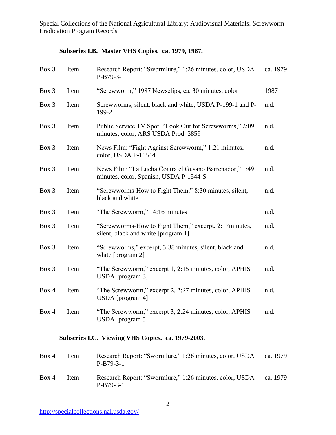## **Subseries I.B. Master VHS Copies. ca. 1979, 1987.**

| Box 3 | Item | Research Report: "Swormlure," 1:26 minutes, color, USDA<br>$P-B79-3-1$                            | ca. 1979 |
|-------|------|---------------------------------------------------------------------------------------------------|----------|
| Box 3 | Item | "Screwworm," 1987 Newsclips, ca. 30 minutes, color                                                | 1987     |
| Box 3 | Item | Screwworms, silent, black and white, USDA P-199-1 and P-<br>199-2                                 | n.d.     |
| Box 3 | Item | Public Service TV Spot: "Look Out for Screwworms," 2:09<br>minutes, color, ARS USDA Prod. 3859    | n.d.     |
| Box 3 | Item | News Film: "Fight Against Screwworm," 1:21 minutes,<br>color, USDA P-11544                        | n.d.     |
| Box 3 | Item | News Film: "La Lucha Contra el Gusano Barrenador," 1:49<br>minutes, color, Spanish, USDA P-1544-S | n.d.     |
| Box 3 | Item | "Screwworms-How to Fight Them," 8:30 minutes, silent,<br>black and white                          | n.d.     |
| Box 3 | Item | "The Screwworm," 14:16 minutes                                                                    | n.d.     |
| Box 3 | Item | "Screwworms-How to Fight Them," excerpt, 2:17 minutes,<br>silent, black and white [program 1]     | n.d.     |
| Box 3 | Item | "Screwworms," excerpt, 3:38 minutes, silent, black and<br>white [program 2]                       | n.d.     |
| Box 3 | Item | "The Screwworm," excerpt 1, 2:15 minutes, color, APHIS<br>USDA [program 3]                        | n.d.     |
| Box 4 | Item | "The Screwworm," excerpt 2, 2:27 minutes, color, APHIS<br>USDA [program 4]                        | n.d.     |
| Box 4 | Item | "The Screwworm," excerpt 3, 2:24 minutes, color, APHIS<br>USDA [program 5]                        | n.d.     |

## **Subseries I.C. Viewing VHS Copies. ca. 1979-2003.**

| Box 4 | Item | Research Report: "Swormlure," 1:26 minutes, color, USDA<br>$P-B79-3-1$ | ca. 1979 |
|-------|------|------------------------------------------------------------------------|----------|
| Box 4 | Item | Research Report: "Swormlure," 1:26 minutes, color, USDA<br>$P-B79-3-1$ | ca. 1979 |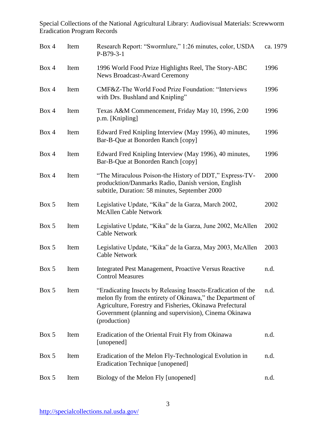| Box 4 | Item | Research Report: "Swormlure," 1:26 minutes, color, USDA<br>$P-B79-3-1$                                                                                                                                                                                          | ca. 1979 |
|-------|------|-----------------------------------------------------------------------------------------------------------------------------------------------------------------------------------------------------------------------------------------------------------------|----------|
| Box 4 | Item | 1996 World Food Prize Highlights Reel, The Story-ABC<br><b>News Broadcast-Award Ceremony</b>                                                                                                                                                                    | 1996     |
| Box 4 | Item | CMF&Z-The World Food Prize Foundation: "Interviews<br>with Drs. Bushland and Knipling"                                                                                                                                                                          | 1996     |
| Box 4 | Item | Texas A&M Commencement, Friday May 10, 1996, 2:00<br>p.m. [Knipling]                                                                                                                                                                                            | 1996     |
| Box 4 | Item | Edward Fred Knipling Interview (May 1996), 40 minutes,<br>Bar-B-Que at Bonorden Ranch [copy]                                                                                                                                                                    | 1996     |
| Box 4 | Item | Edward Fred Knipling Interview (May 1996), 40 minutes,<br>Bar-B-Que at Bonorden Ranch [copy]                                                                                                                                                                    | 1996     |
| Box 4 | Item | "The Miraculous Poison-the History of DDT," Express-TV-<br>producktion/Danmarks Radio, Danish version, English<br>subtitle, Duration: 58 minutes, September 2000                                                                                                | 2000     |
| Box 5 | Item | Legislative Update, "Kika" de la Garza, March 2002,<br><b>McAllen Cable Network</b>                                                                                                                                                                             | 2002     |
| Box 5 | Item | Legislative Update, "Kika" de la Garza, June 2002, McAllen<br><b>Cable Network</b>                                                                                                                                                                              | 2002     |
| Box 5 | Item | Legislative Update, "Kika" de la Garza, May 2003, McAllen<br><b>Cable Network</b>                                                                                                                                                                               | 2003     |
| Box 5 | Item | <b>Integrated Pest Management, Proactive Versus Reactive</b><br><b>Control Measures</b>                                                                                                                                                                         | n.d.     |
| Box 5 | Item | "Eradicating Insects by Releasing Insects-Eradication of the<br>melon fly from the entirety of Okinawa," the Department of<br>Agriculture, Forestry and Fisheries, Okinawa Prefectural<br>Government (planning and supervision), Cinema Okinawa<br>(production) | n.d.     |
| Box 5 | Item | Eradication of the Oriental Fruit Fly from Okinawa<br>[unopened]                                                                                                                                                                                                | n.d.     |
| Box 5 | Item | Eradication of the Melon Fly-Technological Evolution in<br>Eradication Technique [unopened]                                                                                                                                                                     | n.d.     |
| Box 5 | Item | Biology of the Melon Fly [unopened]                                                                                                                                                                                                                             | n.d.     |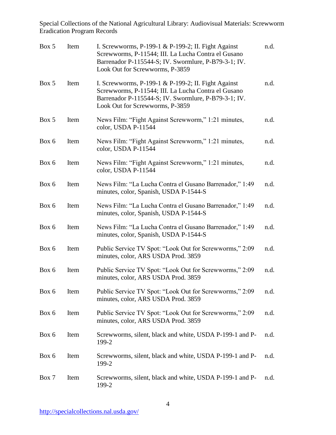| Box 5 | Item | I. Screwworms, P-199-1 & P-199-2; II. Fight Against<br>Screwworms, P-11544; III. La Lucha Contra el Gusano<br>Barrenador P-115544-S; IV. Swormlure, P-B79-3-1; IV.<br>Look Out for Screwworms, P-3859 | n.d. |
|-------|------|-------------------------------------------------------------------------------------------------------------------------------------------------------------------------------------------------------|------|
| Box 5 | Item | I. Screwworms, P-199-1 & P-199-2; II. Fight Against<br>Screwworms, P-11544; III. La Lucha Contra el Gusano<br>Barrenador P-115544-S; IV. Swormlure, P-B79-3-1; IV.<br>Look Out for Screwworms, P-3859 | n.d. |
| Box 5 | Item | News Film: "Fight Against Screwworm," 1:21 minutes,<br>color, USDA P-11544                                                                                                                            | n.d. |
| Box 6 | Item | News Film: "Fight Against Screwworm," 1:21 minutes,<br>color, USDA P-11544                                                                                                                            | n.d. |
| Box 6 | Item | News Film: "Fight Against Screwworm," 1:21 minutes,<br>color, USDA P-11544                                                                                                                            | n.d. |
| Box 6 | Item | News Film: "La Lucha Contra el Gusano Barrenador," 1:49<br>minutes, color, Spanish, USDA P-1544-S                                                                                                     | n.d. |
| Box 6 | Item | News Film: "La Lucha Contra el Gusano Barrenador," 1:49<br>minutes, color, Spanish, USDA P-1544-S                                                                                                     | n.d. |
| Box 6 | Item | News Film: "La Lucha Contra el Gusano Barrenador," 1:49<br>minutes, color, Spanish, USDA P-1544-S                                                                                                     | n.d. |
| Box 6 | Item | Public Service TV Spot: "Look Out for Screwworms," 2:09<br>minutes, color, ARS USDA Prod. 3859                                                                                                        | n.d. |
| Box 6 | Item | Public Service TV Spot: "Look Out for Screwworms," 2:09<br>minutes, color, ARS USDA Prod. 3859                                                                                                        | n.d. |
| Box 6 | Item | Public Service TV Spot: "Look Out for Screwworms," 2:09<br>minutes, color, ARS USDA Prod. 3859                                                                                                        | n.d. |
| Box 6 | Item | Public Service TV Spot: "Look Out for Screwworms," 2:09<br>minutes, color, ARS USDA Prod. 3859                                                                                                        | n.d. |
| Box 6 | Item | Screwworms, silent, black and white, USDA P-199-1 and P-<br>199-2                                                                                                                                     | n.d. |
| Box 6 | Item | Screwworms, silent, black and white, USDA P-199-1 and P-<br>199-2                                                                                                                                     | n.d. |
| Box 7 | Item | Screwworms, silent, black and white, USDA P-199-1 and P-<br>199-2                                                                                                                                     | n.d. |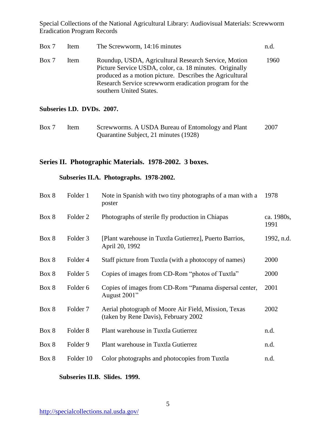| Box 7 | Item | The Screwworm, 14:16 minutes                                                                                                                                                                                                                                     | n.d. |
|-------|------|------------------------------------------------------------------------------------------------------------------------------------------------------------------------------------------------------------------------------------------------------------------|------|
| Box 7 | Item | Roundup, USDA, Agricultural Research Service, Motion<br>Picture Service USDA, color, ca. 18 minutes. Originally<br>produced as a motion picture. Describes the Agricultural<br>Research Service screwworm eradication program for the<br>southern United States. | 1960 |

#### **Subseries I.D. DVDs. 2007.**

| Box 7 | Item | Screwworms. A USDA Bureau of Entomology and Plant | 2007 |
|-------|------|---------------------------------------------------|------|
|       |      | Quarantine Subject, 21 minutes (1928)             |      |

## **Series II. Photographic Materials. 1978-2002. 3 boxes.**

## **Subseries II.A. Photographs. 1978-2002.**

| Box 8 | Folder 1            | Note in Spanish with two tiny photographs of a man with a<br>poster                          | 1978               |
|-------|---------------------|----------------------------------------------------------------------------------------------|--------------------|
| Box 8 | Folder <sub>2</sub> | Photographs of sterile fly production in Chiapas                                             | ca. 1980s,<br>1991 |
| Box 8 | Folder 3            | [Plant warehouse in Tuxtla Gutierrez], Puerto Barrios,<br>April 20, 1992                     | 1992, n.d.         |
| Box 8 | Folder 4            | Staff picture from Tuxtla (with a photocopy of names)                                        | 2000               |
| Box 8 | Folder 5            | Copies of images from CD-Rom "photos of Tuxtla"                                              | 2000               |
| Box 8 | Folder 6            | Copies of images from CD-Rom "Panama dispersal center,<br>August 2001"                       | 2001               |
| Box 8 | Folder <sub>7</sub> | Aerial photograph of Moore Air Field, Mission, Texas<br>(taken by Rene Davis), February 2002 | 2002               |
| Box 8 | Folder <sub>8</sub> | Plant warehouse in Tuxtla Gutierrez                                                          | n.d.               |
| Box 8 | Folder 9            | Plant warehouse in Tuxtla Gutierrez                                                          | n.d.               |
| Box 8 | Folder 10           | Color photographs and photocopies from Tuxtla                                                | n.d.               |
|       |                     |                                                                                              |                    |

## **Subseries II.B. Slides. 1999.**